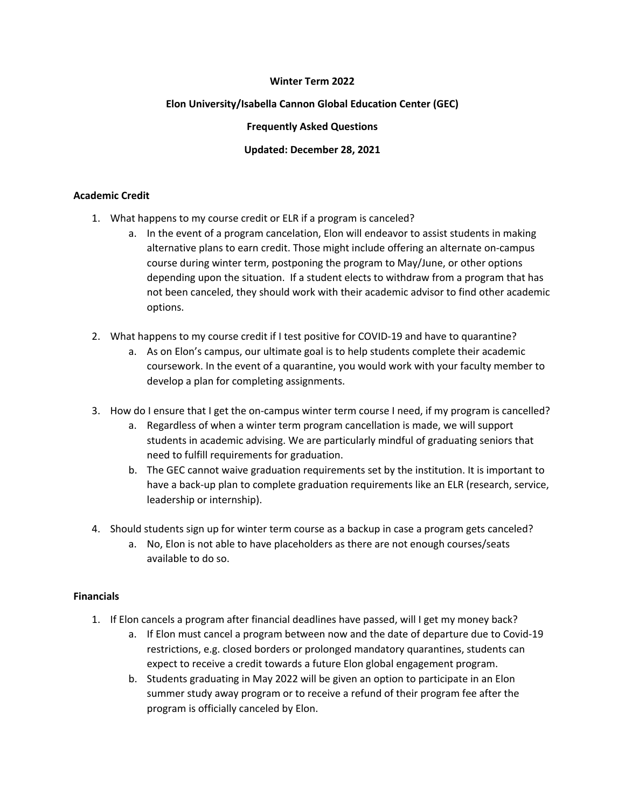### **Winter Term 2022**

# **Elon University/Isabella Cannon Global Education Center (GEC)**

### **Frequently Asked Questions**

# **Updated: December 28, 2021**

### **Academic Credit**

- 1. What happens to my course credit or ELR if a program is canceled?
	- a. In the event of a program cancelation, Elon will endeavor to assist students in making alternative plans to earn credit. Those might include offering an alternate on-campus course during winter term, postponing the program to May/June, or other options depending upon the situation. If a student elects to withdraw from a program that has not been canceled, they should work with their academic advisor to find other academic options.
- 2. What happens to my course credit if I test positive for COVID-19 and have to quarantine?
	- a. As on Elon's campus, our ultimate goal is to help students complete their academic coursework. In the event of a quarantine, you would work with your faculty member to develop a plan for completing assignments.
- 3. How do I ensure that I get the on-campus winter term course I need, if my program is cancelled?
	- a. Regardless of when a winter term program cancellation is made, we will support students in academic advising. We are particularly mindful of graduating seniors that need to fulfill requirements for graduation.
	- b. The GEC cannot waive graduation requirements set by the institution. It is important to have a back-up plan to complete graduation requirements like an ELR (research, service, leadership or internship).
- 4. Should students sign up for winter term course as a backup in case a program gets canceled?
	- a. No, Elon is not able to have placeholders as there are not enough courses/seats available to do so.

### **Financials**

- 1. If Elon cancels a program after financial deadlines have passed, will I get my money back?
	- a. If Elon must cancel a program between now and the date of departure due to Covid-19 restrictions, e.g. closed borders or prolonged mandatory quarantines, students can expect to receive a credit towards a future Elon global engagement program.
	- b. Students graduating in May 2022 will be given an option to participate in an Elon summer study away program or to receive a refund of their program fee after the program is officially canceled by Elon.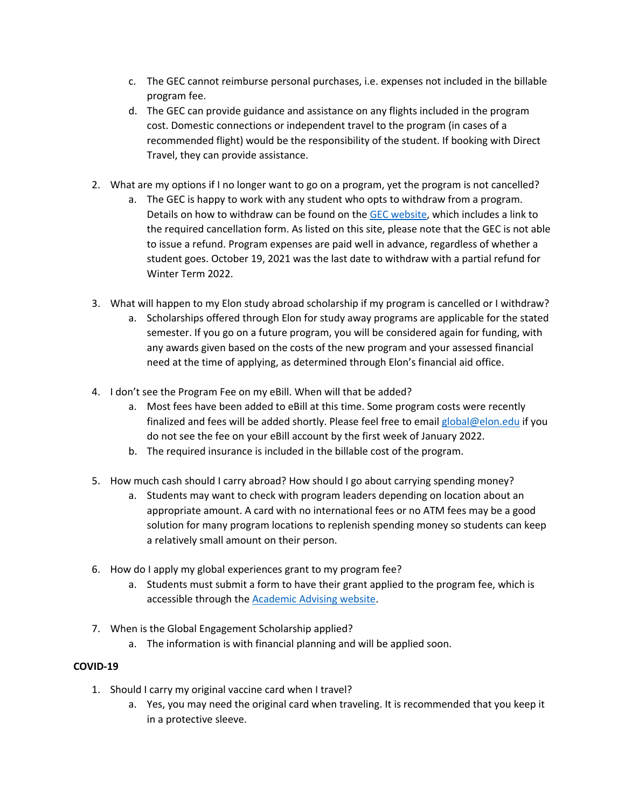- c. The GEC cannot reimburse personal purchases, i.e. expenses not included in the billable program fee.
- d. The GEC can provide guidance and assistance on any flights included in the program cost. Domestic connections or independent travel to the program (in cases of a recommended flight) would be the responsibility of the student. If booking with Direct Travel, they can provide assistance.
- 2. What are my options if I no longer want to go on a program, yet the program is not cancelled?
	- a. The GEC is happy to work with any student who opts to withdraw from a program. Details on how to withdraw can be found on the GEC website, which includes a link to the required cancellation form. As listed on this site, please note that the GEC is not able to issue a refund. Program expenses are paid well in advance, regardless of whether a student goes. October 19, 2021 was the last date to withdraw with a partial refund for Winter Term 2022.
- 3. What will happen to my Elon study abroad scholarship if my program is cancelled or I withdraw?
	- a. Scholarships offered through Elon for study away programs are applicable for the stated semester. If you go on a future program, you will be considered again for funding, with any awards given based on the costs of the new program and your assessed financial need at the time of applying, as determined through Elon's financial aid office.
- 4. I don't see the Program Fee on my eBill. When will that be added?
	- a. Most fees have been added to eBill at this time. Some program costs were recently finalized and fees will be added shortly. Please feel free to email global@elon.edu if you do not see the fee on your eBill account by the first week of January 2022.
	- b. The required insurance is included in the billable cost of the program.
- 5. How much cash should I carry abroad? How should I go about carrying spending money?
	- a. Students may want to check with program leaders depending on location about an appropriate amount. A card with no international fees or no ATM fees may be a good solution for many program locations to replenish spending money so students can keep a relatively small amount on their person.
- 6. How do I apply my global experiences grant to my program fee?
	- a. Students must submit a form to have their grant applied to the program fee, which is accessible through the **Academic Advising website**.
- 7. When is the Global Engagement Scholarship applied?
	- a. The information is with financial planning and will be applied soon.

### **COVID-19**

- 1. Should I carry my original vaccine card when I travel?
	- a. Yes, you may need the original card when traveling. It is recommended that you keep it in a protective sleeve.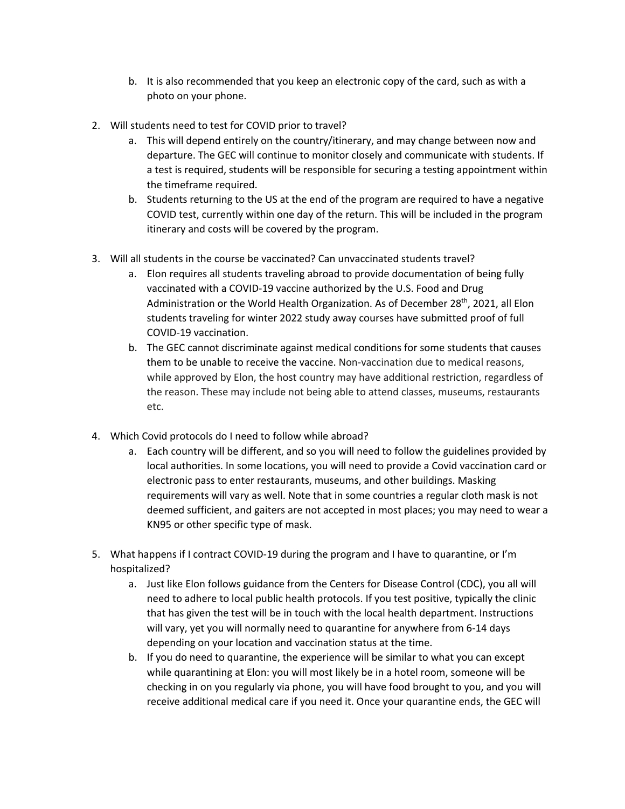- b. It is also recommended that you keep an electronic copy of the card, such as with a photo on your phone.
- 2. Will students need to test for COVID prior to travel?
	- a. This will depend entirely on the country/itinerary, and may change between now and departure. The GEC will continue to monitor closely and communicate with students. If a test is required, students will be responsible for securing a testing appointment within the timeframe required.
	- b. Students returning to the US at the end of the program are required to have a negative COVID test, currently within one day of the return. This will be included in the program itinerary and costs will be covered by the program.
- 3. Will all students in the course be vaccinated? Can unvaccinated students travel?
	- a. Elon requires all students traveling abroad to provide documentation of being fully vaccinated with a COVID-19 vaccine authorized by the U.S. Food and Drug Administration or the World Health Organization. As of December 28<sup>th</sup>, 2021, all Elon students traveling for winter 2022 study away courses have submitted proof of full COVID-19 vaccination.
	- b. The GEC cannot discriminate against medical conditions for some students that causes them to be unable to receive the vaccine. Non-vaccination due to medical reasons, while approved by Elon, the host country may have additional restriction, regardless of the reason. These may include not being able to attend classes, museums, restaurants etc.
- 4. Which Covid protocols do I need to follow while abroad?
	- a. Each country will be different, and so you will need to follow the guidelines provided by local authorities. In some locations, you will need to provide a Covid vaccination card or electronic pass to enter restaurants, museums, and other buildings. Masking requirements will vary as well. Note that in some countries a regular cloth mask is not deemed sufficient, and gaiters are not accepted in most places; you may need to wear a KN95 or other specific type of mask.
- 5. What happens if I contract COVID-19 during the program and I have to quarantine, or I'm hospitalized?
	- a. Just like Elon follows guidance from the Centers for Disease Control (CDC), you all will need to adhere to local public health protocols. If you test positive, typically the clinic that has given the test will be in touch with the local health department. Instructions will vary, yet you will normally need to quarantine for anywhere from 6-14 days depending on your location and vaccination status at the time.
	- b. If you do need to quarantine, the experience will be similar to what you can except while quarantining at Elon: you will most likely be in a hotel room, someone will be checking in on you regularly via phone, you will have food brought to you, and you will receive additional medical care if you need it. Once your quarantine ends, the GEC will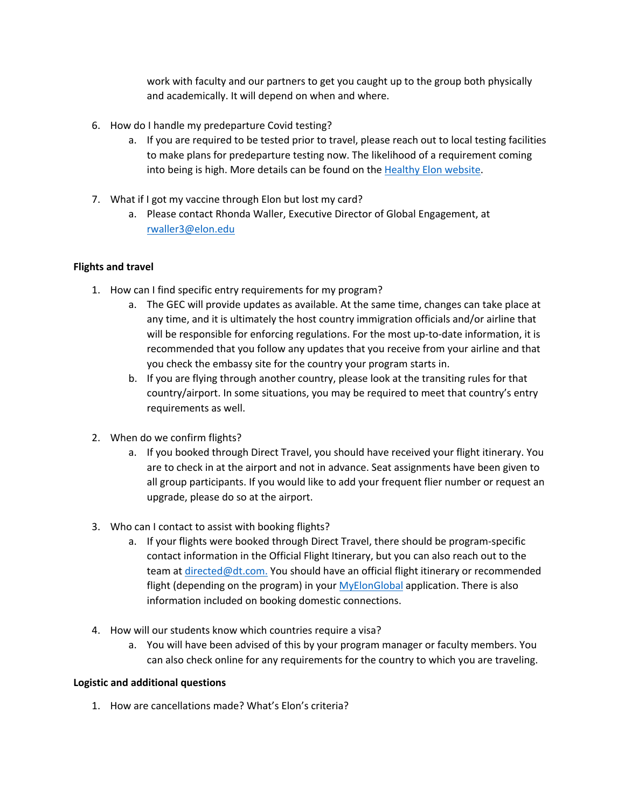work with faculty and our partners to get you caught up to the group both physically and academically. It will depend on when and where.

- 6. How do I handle my predeparture Covid testing?
	- a. If you are required to be tested prior to travel, please reach out to local testing facilities to make plans for predeparture testing now. The likelihood of a requirement coming into being is high. More details can be found on the Healthy Elon website.
- 7. What if I got my vaccine through Elon but lost my card?
	- a. Please contact Rhonda Waller, Executive Director of Global Engagement, at rwaller3@elon.edu

### **Flights and travel**

- 1. How can I find specific entry requirements for my program?
	- a. The GEC will provide updates as available. At the same time, changes can take place at any time, and it is ultimately the host country immigration officials and/or airline that will be responsible for enforcing regulations. For the most up-to-date information, it is recommended that you follow any updates that you receive from your airline and that you check the embassy site for the country your program starts in.
	- b. If you are flying through another country, please look at the transiting rules for that country/airport. In some situations, you may be required to meet that country's entry requirements as well.
- 2. When do we confirm flights?
	- a. If you booked through Direct Travel, you should have received your flight itinerary. You are to check in at the airport and not in advance. Seat assignments have been given to all group participants. If you would like to add your frequent flier number or request an upgrade, please do so at the airport.
- 3. Who can I contact to assist with booking flights?
	- a. If your flights were booked through Direct Travel, there should be program-specific contact information in the Official Flight Itinerary, but you can also reach out to the team at directed@dt.com. You should have an official flight itinerary or recommended flight (depending on the program) in your MyElonGlobal application. There is also information included on booking domestic connections.
- 4. How will our students know which countries require a visa?
	- a. You will have been advised of this by your program manager or faculty members. You can also check online for any requirements for the country to which you are traveling.

### **Logistic and additional questions**

1. How are cancellations made? What's Elon's criteria?